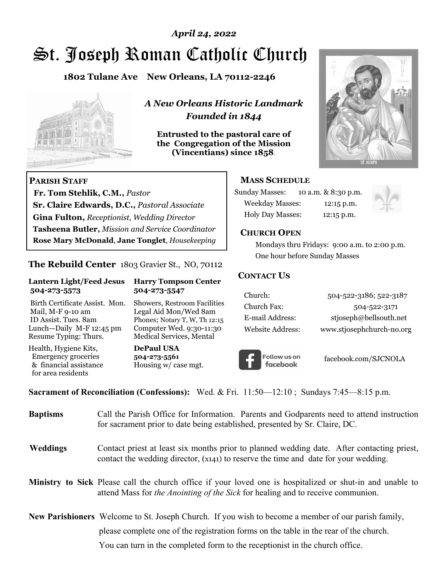# St. Joseph Roman Catholic Church *April 24, 2022*

**1802 Tulane Ave New Orleans, LA 70112-2246**



 **Fr. Tom Stehlik, C.M.,** *Pastor* 

**Sr. Claire Edwards, D.C.,** *Pastoral Associate* **Gina Fulton,** *Receptionist, Wedding Director* 

**Tasheena Butler,** *Mission and Service Coordinator* **Rose Mary McDonald**, **Jane Tonglet**, *Housekeeping*

**The Rebuild Center** 1803 Gravier St., NO, 70112

**Lantern Light/Feed Jesus Harry Tompson Center** 

Birth Certificate Assist. Mon. Showers, Restroom Facilities Mail, M-F 9-10 am Legal Aid Mon/Wed 8am ID Assist. Tues. 8am Phones; Notary T, W, Th 12:15 Lunch—Daily M-F 12:45 pm Computer Wed. 9:30-11:30 Resume Typing: Thurs. Medical Services, Mental

 **504-273-5573 504-273-5547** 

Health, Hygiene Kits, **DePaul USA**  Emergency groceries **504-273-5561**<br>& financial assistance **Housing w/** ca

**PARISH STAFF**

for area residents

*A New Orleans Historic Landmark Founded in 1844* 

**Entrusted to the pastoral care of the Congregation of the Mission (Vincentians) since 1858**.



## **MASS SCHEDULE**

| <b>Sunday Masses:</b>  | 10 a.m. & 8:30 p.m. |
|------------------------|---------------------|
| <b>Weekday Masses:</b> | $12:15$ p.m.        |
| Holy Day Masses:       | 12:15 p.m.          |



#### **CHURCH OPEN**

 Mondays thru Fridays: 9:00 a.m. to 2:00 p.m. One hour before Sunday Masses

## **CONTACT US**

| Church:          | 504-522-3186; 522-3187    |
|------------------|---------------------------|
| Church Fax:      | 504-522-3171              |
| E-mail Address:  | stjoseph@bellsouth.net    |
| Website Address: | www.stjosephchurch-no.org |



facebook.com/SJCNOLA

**Sacrament of Reconciliation (Confessions):** Wed. & Fri. 11:50—12:10 ; Sundays 7:45—8:15 p.m.

Housing w/ case mgt.

| <b>Baptisms</b> | Call the Parish Office for Information. Parents and Godparents need to attend instruction<br>for sacrament prior to date being established, presented by Sr. Claire, DC.                            |
|-----------------|-----------------------------------------------------------------------------------------------------------------------------------------------------------------------------------------------------|
| Weddings        | Contact priest at least six months prior to planned wedding date. After contacting priest,<br>contact the wedding director, (x141) to reserve the time and date for your wedding.                   |
|                 | <b>Ministry to Sick</b> Please call the church office if your loved one is hospitalized or shut-in and unable to<br>attend Mass for the Anointing of the Sick for healing and to receive communion. |
|                 | <b>New Parishioners</b> Welcome to St. Joseph Church. If you wish to become a member of our parish family,                                                                                          |
|                 | please complete one of the registration forms on the table in the rear of the church.                                                                                                               |
|                 | You can turn in the completed form to the reception is the church office.                                                                                                                           |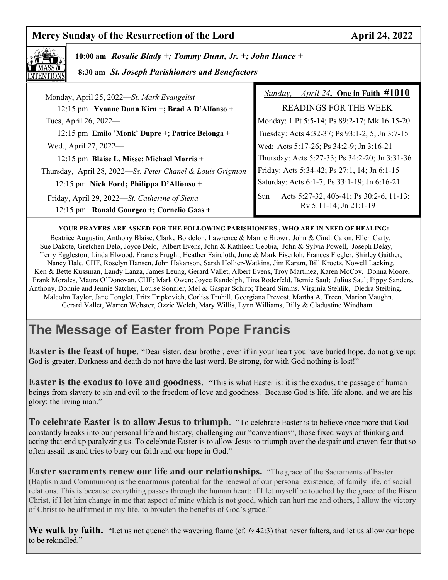## **Mercy Sunday of the Resurrection of the Lord April 24, 2022**



 **10:00 am** *Rosalie Blady +; Tommy Dunn, Jr. +; John Hance +*

 **8:30 am** *St. Joseph Parishioners and Benefactors*

| Monday, April 25, 2022—St. Mark Evangelist                                                  | <i>April 24, One in Faith <math>\#1010</math></i><br>Sunday,                    |
|---------------------------------------------------------------------------------------------|---------------------------------------------------------------------------------|
| 12:15 pm Yvonne Dunn Kirn +; Brad A D'Alfonso +                                             | <b>READINGS FOR THE WEEK</b>                                                    |
| Tues, April 26, 2022—                                                                       | Monday: 1 Pt 5:5-14; Ps 89:2-17; Mk 16:15-20                                    |
| 12:15 pm Emilo 'Monk' Dupre +; Patrice Belonga +                                            | Tuesday: Acts 4:32-37; Ps 93:1-2, 5; Jn 3:7-15                                  |
| Wed., April 27, 2022—                                                                       | Wed: Acts 5:17-26; Ps 34:2-9; Jn 3:16-21                                        |
| 12:15 pm Blaise L. Misse; Michael Morris +                                                  | Thursday: Acts 5:27-33; Ps 34:2-20; Jn 3:31-36                                  |
| Thursday, April 28, 2022-Ss. Peter Chanel & Louis Grignion                                  | Friday: Acts 5:34-42; Ps 27:1, 14; Jn 6:1-15                                    |
| 12:15 pm Nick Ford; Philippa D'Alfonso +                                                    | Saturday: Acts 6:1-7; Ps 33:1-19; Jn 6:16-21                                    |
| Friday, April 29, 2022—St. Catherine of Siena<br>12:15 pm Ronald Gourgeo +; Cornelio Gaas + | Acts 5:27-32, 40b-41; Ps 30:2-6, 11-13;<br><b>Sun</b><br>Rv 5:11-14; Jn 21:1-19 |

#### **YOUR PRAYERS ARE ASKED FOR THE FOLLOWING PARISHIONERS , WHO ARE IN NEED OF HEALING:**

 Beatrice Augustin, Anthony Blaise, Clarke Bordelon, Lawrence & Mamie Brown, John & Cindi Caron, Ellen Carty, Sue Dakote, Gretchen Delo, Joyce Delo, Albert Evens, John & Kathleen Gebbia, John & Sylvia Powell, Joseph Delay, Terry Eggleston, Linda Elwood, Francis Frught, Heather Faircloth, June & Mark Eiserloh, Frances Fiegler, Shirley Gaither, Nancy Hale, CHF, Roselyn Hansen, John Hakanson, Sarah Hollier-Watkins, Jim Karam, Bill Kroetz, Nowell Lacking, Ken & Bette Kussman, Landy Lanza, James Leung, Gerard Vallet, Albert Evens, Troy Martinez, Karen McCoy, Donna Moore, Frank Morales, Maura O'Donovan, CHF; Mark Owen; Joyce Randolph, Tina Roderfeld, Bernie Saul; Julius Saul; Pippy Sanders, Anthony, Donnie and Jennie Satcher, Louise Sonnier, Mel & Gaspar Schiro; Theard Simms, Virginia Stehlik, Diedra Steibing, Malcolm Taylor, Jane Tonglet, Fritz Tripkovich, Corliss Truhill, Georgiana Prevost, Martha A. Treen, Marion Vaughn, Gerard Vallet, Warren Webster, Ozzie Welch, Mary Willis, Lynn Williams, Billy & Gladustine Windham.

## **The Message of Easter from Pope Francis**

**Easter is the feast of hope.** "Dear sister, dear brother, even if in your heart you have buried hope, do not give up: God is greater. Darkness and death do not have the last word. Be strong, for with God nothing is lost!"

**Easter is the exodus to love and goodness**. "This is what Easter is: it is the exodus, the passage of human beings from slavery to sin and evil to the freedom of love and goodness. Because God is life, life alone, and we are his glory: the living man."

**To celebrate Easter is to allow Jesus to triumph**. "To celebrate Easter is to believe once more that God constantly breaks into our personal life and history, challenging our "conventions", those fixed ways of thinking and acting that end up paralyzing us. To celebrate Easter is to allow Jesus to triumph over the despair and craven fear that so often assail us and tries to bury our faith and our hope in God."

**Easter sacraments renew our life and our relationships.** "The grace of the Sacraments of Easter (Baptism and Communion) is the enormous potential for the renewal of our personal existence, of family life, of social relations. This is because everything passes through the human heart: if I let myself be touched by the grace of the Risen Christ, if I let him change in me that aspect of mine which is not good, which can hurt me and others, I allow the victory of Christ to be affirmed in my life, to broaden the benefits of God's grace."

**We walk by faith.** "Let us not quench the wavering flame (cf*. Is* 42:3) that never falters, and let us allow our hope to be rekindled."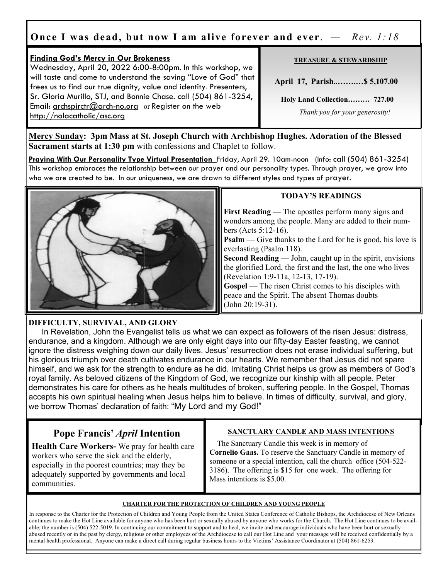## **Once I was dead, but now I am alive forever and ever**. *— Rev. 1:18*

## **Finding God's Mercy in Our Brokeness**

Wednesday, April 20, 2022 6:00-8:00pm. In this workshop, we will taste and come to understand the saving "Love of God" that frees us to find our true dignity, value and identity. Presenters, Sr. Gloria Murillo, STJ, and Bonnie Chase. call (504) 861-3254, Email: archspirctr $@$  arch-no.org or Register on the web http://nolacatholic/asc.org

#### **TREASURE & STEWARDSHIP**

 **April 17, Parish..…….…\$ 5,107.00** 

 **Holy Land Collection……… 727.00**

 *Thank you for your generosity!* 

**Mercy Sunday: 3pm Mass at St. Joseph Church with Archbishop Hughes. Adoration of the Blessed Sacrament starts at 1:30 pm** with confessions and Chaplet to follow.

**Praying With Our Personality Type Virtual Presentation** Friday, April 29. 10am-noon (Info: call (504) 861-3254) This workshop embraces the relationship between our prayer and our personality types. Through prayer, we grow into who we are created to be. In our uniqueness, we are drawn to different styles and types of prayer.



## **TODAY'S READINGS**

**First Reading** — The apostles perform many signs and wonders among the people. Many are added to their numbers (Acts 5:12-16).

**Psalm** — Give thanks to the Lord for he is good, his love is everlasting (Psalm 118).

**Second Reading** — John, caught up in the spirit, envisions the glorified Lord, the first and the last, the one who lives (Revelation 1:9-11a, 12-13, 17-19).

Gospel — The risen Christ comes to his disciples with peace and the Spirit. The absent Thomas doubts (John 20:19-31).

#### **DIFFICULTY, SURVIVAL, AND GLORY**  In Revelation, John the Evangelist tells us what we can expect as followers of the risen Jesus: distress, endurance, and a kingdom. Although we are only eight days into our fifty-day Easter feasting, we cannot ignore the distress weighing down our daily lives. Jesus' resurrection does not erase individual suffering, but his glorious triumph over death cultivates endurance in our hearts. We remember that Jesus did not spare himself, and we ask for the strength to endure as he did. Imitating Christ helps us grow as members of God's royal family. As beloved citizens of the Kingdom of God, we recognize our kinship with all people. Peter demonstrates his care for others as he heals multitudes of broken, suffering people. In the Gospel, Thomas accepts his own spiritual healing when Jesus helps him to believe. In times of difficulty, survival, and glory, we borrow Thomas' declaration of faith: "My Lord and my God!"

## **Pope Francis'** *April* **Intention**

**Health Care Workers-** We pray for health care workers who serve the sick and the elderly, especially in the poorest countries; may they be adequately supported by governments and local communities.

## **SANCTUARY CANDLE AND MASS INTENTIONS**

 The Sanctuary Candle this week is in memory of **Cornelio Gaas.** To reserve the Sanctuary Candle in memory of someone or a special intention, call the church office (504-522- 3186). The offering is \$15 for one week. The offering for Mass intentions is \$5.00.

#### **CHARTER FOR THE PROTECTION OF CHILDREN AND YOUNG PEOPLE**

In response to the Charter for the Protection of Children and Young People from the United States Conference of Catholic Bishops, the Archdiocese of New Orleans continues to make the Hot Line available for anyone who has been hurt or sexually abused by anyone who works for the Church. The Hot Line continues to be available; the number is (504) 522-5019. In continuing our commitment to support and to heal, we invite and encourage individuals who have been hurt or sexually abused recently or in the past by clergy, religious or other employees of the Archdiocese to call our Hot Line and your message will be received confidentially by a mental health professional. Anyone can make a direct call during regular business hours to the Victims' Assistance Coordinator at (504) 861-6253.